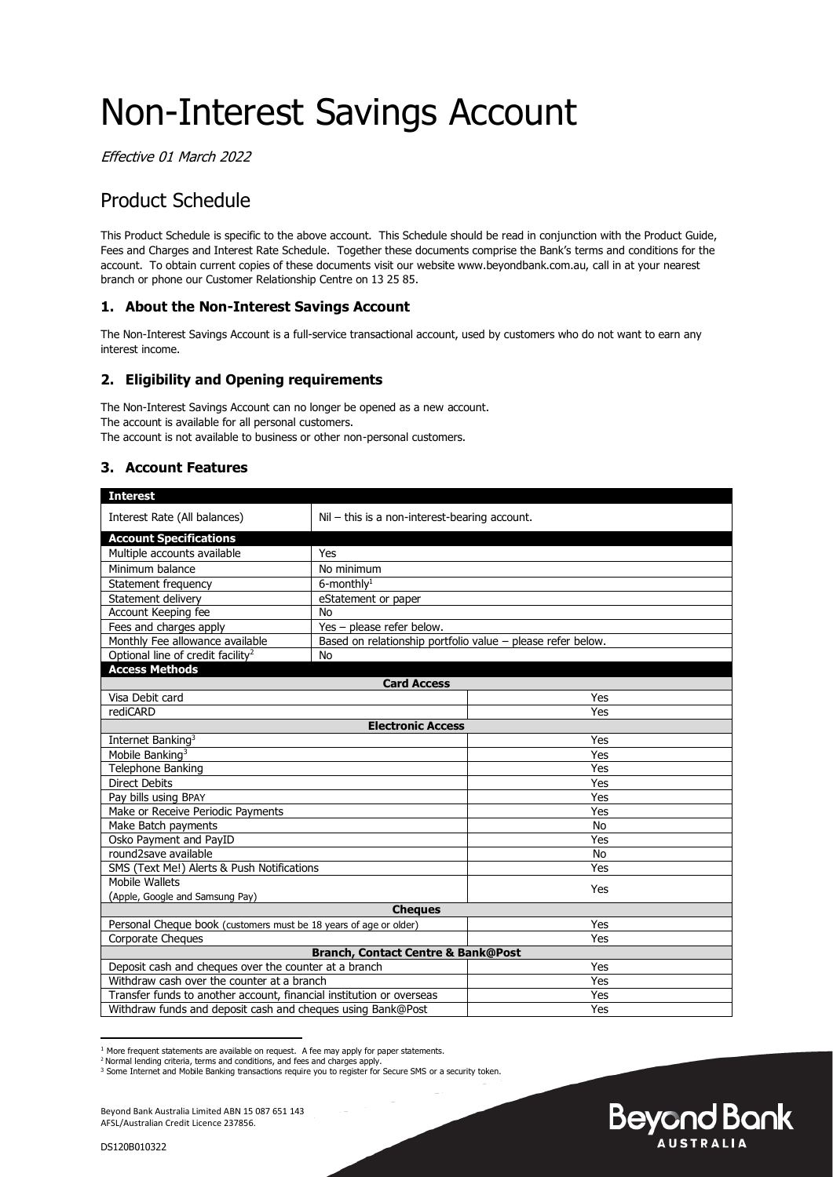# Non-Interest Savings Account

Effective 01 March 2022

# Product Schedule

This Product Schedule is specific to the above account. This Schedule should be read in conjunction with the Product Guide, Fees and Charges and Interest Rate Schedule. Together these documents comprise the Bank's terms and conditions for the account. To obtain current copies of these documents visit our website www.beyondbank.com.au, call in at your nearest branch or phone our Customer Relationship Centre on 13 25 85.

# **1. About the Non-Interest Savings Account**

The Non-Interest Savings Account is a full-service transactional account, used by customers who do not want to earn any interest income.

# **2. Eligibility and Opening requirements**

The Non-Interest Savings Account can no longer be opened as a new account. The account is available for all personal customers. The account is not available to business or other non-personal customers.

# **3. Account Features**

| <b>Interest</b>                                                      |                                                             |           |  |  |
|----------------------------------------------------------------------|-------------------------------------------------------------|-----------|--|--|
|                                                                      |                                                             |           |  |  |
| Interest Rate (All balances)                                         | Nil - this is a non-interest-bearing account.               |           |  |  |
| <b>Account Specifications</b>                                        |                                                             |           |  |  |
| Multiple accounts available                                          | Yes                                                         |           |  |  |
| Minimum balance                                                      | No minimum                                                  |           |  |  |
| Statement frequency                                                  | $6$ -monthly <sup>1</sup>                                   |           |  |  |
| Statement delivery                                                   | eStatement or paper                                         |           |  |  |
| Account Keeping fee                                                  | No                                                          |           |  |  |
| Fees and charges apply                                               | Yes - please refer below.                                   |           |  |  |
| Monthly Fee allowance available                                      | Based on relationship portfolio value - please refer below. |           |  |  |
| Optional line of credit facility <sup>2</sup>                        | No                                                          |           |  |  |
| <b>Access Methods</b>                                                |                                                             |           |  |  |
|                                                                      | <b>Card Access</b>                                          |           |  |  |
| Visa Debit card                                                      |                                                             | Yes       |  |  |
| rediCARD                                                             |                                                             | Yes       |  |  |
|                                                                      | <b>Electronic Access</b>                                    |           |  |  |
| Internet Banking <sup>3</sup>                                        |                                                             | Yes       |  |  |
| Mobile Banking <sup>3</sup>                                          |                                                             | Yes       |  |  |
| <b>Telephone Banking</b>                                             |                                                             | Yes       |  |  |
| <b>Direct Debits</b>                                                 |                                                             | Yes       |  |  |
| Pay bills using BPAY                                                 |                                                             | Yes       |  |  |
| Make or Receive Periodic Payments                                    |                                                             | Yes       |  |  |
| Make Batch payments                                                  |                                                             | <b>No</b> |  |  |
| Osko Payment and PayID                                               |                                                             | Yes       |  |  |
| round2save available                                                 |                                                             | <b>No</b> |  |  |
| SMS (Text Me!) Alerts & Push Notifications                           |                                                             | Yes       |  |  |
| Mobile Wallets                                                       |                                                             | Yes       |  |  |
| (Apple, Google and Samsung Pay)                                      |                                                             |           |  |  |
|                                                                      | <b>Cheaues</b>                                              |           |  |  |
| Personal Cheque book (customers must be 18 years of age or older)    |                                                             | Yes       |  |  |
| Corporate Cheques                                                    |                                                             | Yes       |  |  |
|                                                                      | <b>Branch, Contact Centre &amp; Bank@Post</b>               |           |  |  |
| Deposit cash and cheques over the counter at a branch                |                                                             | Yes       |  |  |
| Withdraw cash over the counter at a branch                           |                                                             | Yes       |  |  |
| Transfer funds to another account, financial institution or overseas |                                                             | Yes       |  |  |
| Withdraw funds and deposit cash and cheques using Bank@Post          |                                                             | Yes       |  |  |

**Beyond Bank AUSTRALIA** 

<sup>&</sup>lt;sup>1</sup> More frequent statements are available on request. A fee may apply for paper statements.<br><sup>2</sup> Normal lending criteria, terms and conditions, and fees and charges apply.

<sup>&</sup>lt;sup>3</sup> Some Internet and Mobile Banking transactions require you to register for Secure SMS or a security token.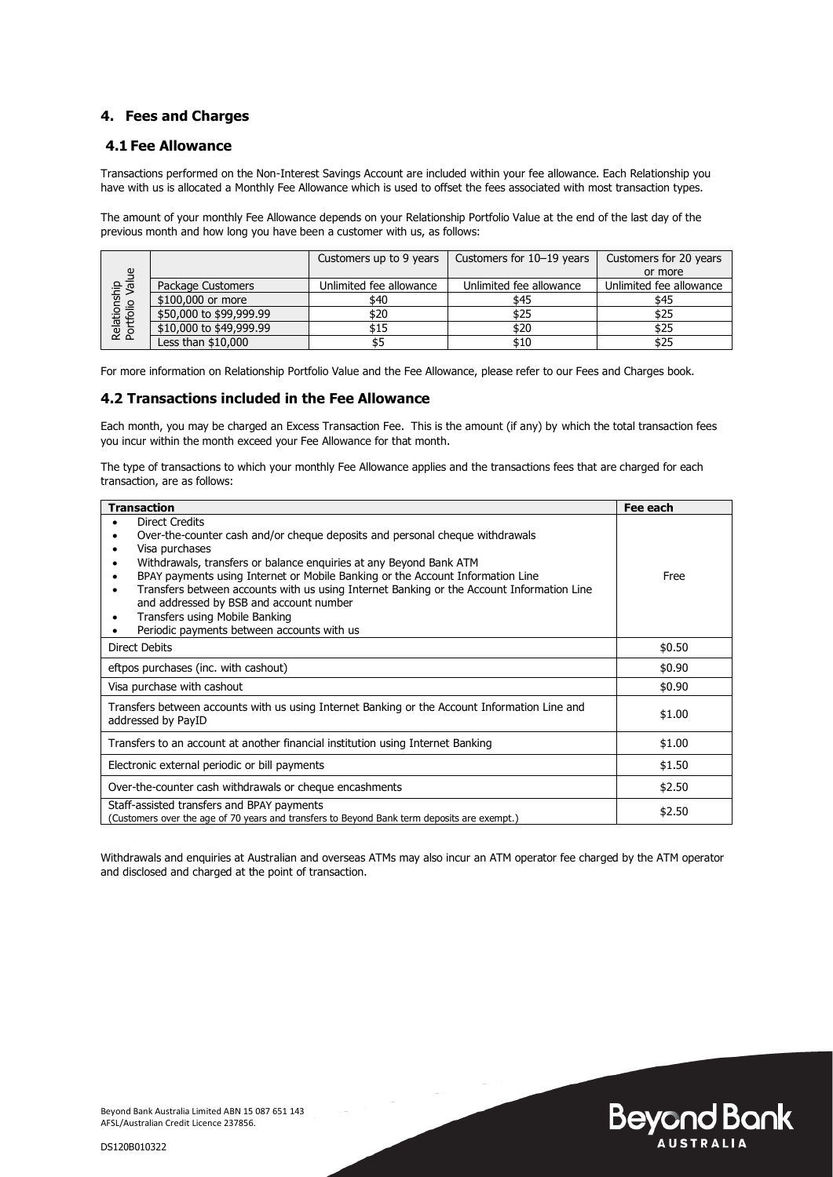#### **4. Fees and Charges**

#### **4.1 Fee Allowance**

Transactions performed on the Non-Interest Savings Account are included within your fee allowance. Each Relationship you have with us is allocated a Monthly Fee Allowance which is used to offset the fees associated with most transaction types.

The amount of your monthly Fee Allowance depends on your Relationship Portfolio Value at the end of the last day of the previous month and how long you have been a customer with us, as follows:

| $\mathbf{g}$                   |                         | Customers up to 9 years | Customers for 10-19 years | Customers for 20 years  |
|--------------------------------|-------------------------|-------------------------|---------------------------|-------------------------|
|                                |                         |                         |                           | or more                 |
|                                | Package Customers       | Unlimited fee allowance | Unlimited fee allowance   | Unlimited fee allowance |
|                                | \$100,000 or more       | \$40                    | \$45                      | \$45                    |
|                                | \$50,000 to \$99,999.99 | \$20                    | \$25                      | \$25                    |
| Relationship<br>Portfolio Valu | \$10,000 to \$49,999.99 | \$15                    | \$20                      | \$25                    |
|                                | Less than \$10,000      |                         | \$10                      | \$25                    |

For more information on Relationship Portfolio Value and the Fee Allowance, please refer to our Fees and Charges book.

#### **4.2 Transactions included in the Fee Allowance**

Each month, you may be charged an Excess Transaction Fee. This is the amount (if any) by which the total transaction fees you incur within the month exceed your Fee Allowance for that month.

The type of transactions to which your monthly Fee Allowance applies and the transactions fees that are charged for each transaction, are as follows:

| <b>Transaction</b>                                                                                                                                                                                                                                                                                                                                                                                                                                                                                                | Fee each |
|-------------------------------------------------------------------------------------------------------------------------------------------------------------------------------------------------------------------------------------------------------------------------------------------------------------------------------------------------------------------------------------------------------------------------------------------------------------------------------------------------------------------|----------|
| <b>Direct Credits</b><br>Over-the-counter cash and/or cheque deposits and personal cheque withdrawals<br>Visa purchases<br>Withdrawals, transfers or balance enquiries at any Beyond Bank ATM<br>٠<br>BPAY payments using Internet or Mobile Banking or the Account Information Line<br>Transfers between accounts with us using Internet Banking or the Account Information Line<br>٠<br>and addressed by BSB and account number<br>Transfers using Mobile Banking<br>Periodic payments between accounts with us | Free     |
| <b>Direct Debits</b>                                                                                                                                                                                                                                                                                                                                                                                                                                                                                              | \$0.50   |
| eftpos purchases (inc. with cashout)                                                                                                                                                                                                                                                                                                                                                                                                                                                                              | \$0.90   |
| Visa purchase with cashout                                                                                                                                                                                                                                                                                                                                                                                                                                                                                        | \$0.90   |
| Transfers between accounts with us using Internet Banking or the Account Information Line and<br>addressed by PayID                                                                                                                                                                                                                                                                                                                                                                                               | \$1.00   |
| Transfers to an account at another financial institution using Internet Banking                                                                                                                                                                                                                                                                                                                                                                                                                                   | \$1.00   |
| Electronic external periodic or bill payments                                                                                                                                                                                                                                                                                                                                                                                                                                                                     | \$1.50   |
| Over-the-counter cash withdrawals or cheque encashments                                                                                                                                                                                                                                                                                                                                                                                                                                                           | \$2.50   |
| Staff-assisted transfers and BPAY payments<br>(Customers over the age of 70 years and transfers to Beyond Bank term deposits are exempt.)                                                                                                                                                                                                                                                                                                                                                                         | \$2.50   |

Withdrawals and enquiries at Australian and overseas ATMs may also incur an ATM operator fee charged by the ATM operator and disclosed and charged at the point of transaction.



DS120B010322